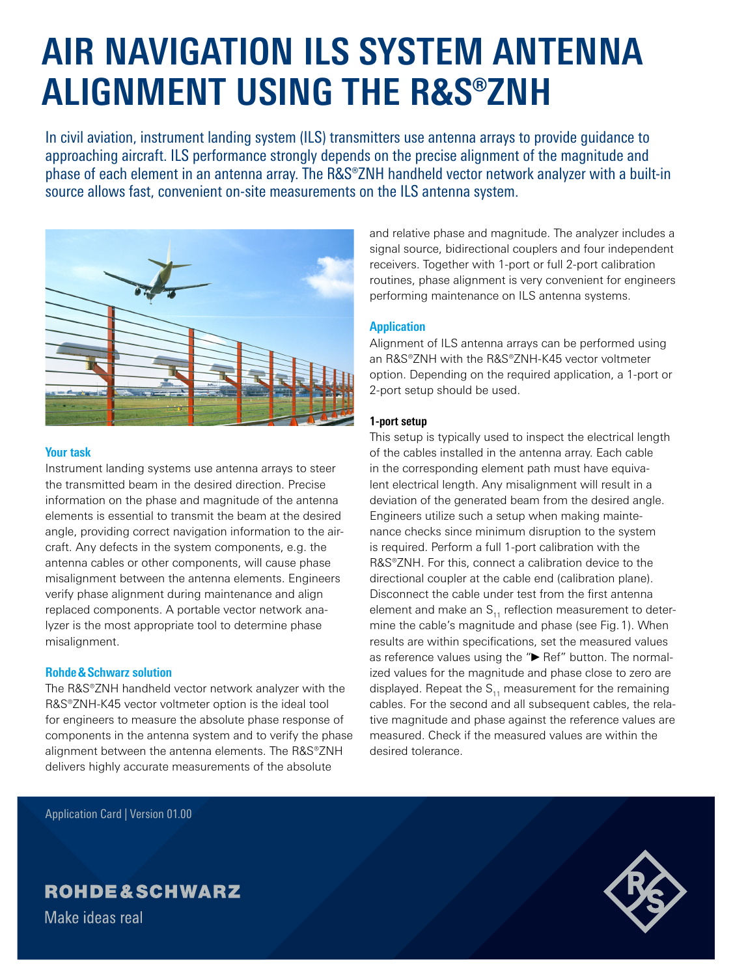# **AIR NAVIGATION ILS SYSTEM ANTENNA ALIGNMENT USING THE R&S®ZNH**

In civil aviation, instrument landing system (ILS) transmitters use antenna arrays to provide guidance to approaching aircraft. ILS performance strongly depends on the precise alignment of the magnitude and phase of each element in an antenna array. The R&S®ZNH handheld vector network analyzer with a built-in source allows fast, convenient on-site measurements on the ILS antenna system.



## **Your task**

Instrument landing systems use antenna arrays to steer the transmitted beam in the desired direction. Precise information on the phase and magnitude of the antenna elements is essential to transmit the beam at the desired angle, providing correct navigation information to the aircraft. Any defects in the system components, e.g. the antenna cables or other components, will cause phase misalignment between the antenna elements. Engineers verify phase alignment during maintenance and align replaced components. A portable vector network analyzer is the most appropriate tool to determine phase misalignment.

# **Rohde&Schwarz solution**

The R&S®ZNH handheld vector network analyzer with the R&S®ZNH‑K45 vector voltmeter option is the ideal tool for engineers to measure the absolute phase response of components in the antenna system and to verify the phase alignment between the antenna elements. The R&S®ZNH delivers highly accurate measurements of the absolute

and relative phase and magnitude. The analyzer includes a signal source, bidirectional couplers and four independent receivers. Together with 1-port or full 2-port calibration routines, phase alignment is very convenient for engineers performing maintenance on ILS antenna systems.

# **Application**

Alignment of ILS antenna arrays can be performed using an R&S®ZNH with the R&S®ZNH‑K45 vector voltmeter option. Depending on the required application, a 1-port or 2-port setup should be used.

# **1-port setup**

This setup is typically used to inspect the electrical length of the cables installed in the antenna array. Each cable in the corresponding element path must have equivalent electrical length. Any misalignment will result in a deviation of the generated beam from the desired angle. Engineers utilize such a setup when making maintenance checks since minimum disruption to the system is required. Perform a full 1-port calibration with the R&S®ZNH. For this, connect a calibration device to the directional coupler at the cable end (calibration plane). Disconnect the cable under test from the first antenna element and make an  $S<sub>11</sub>$  reflection measurement to determine the cable's magnitude and phase (see Fig.1). When results are within specifications, set the measured values as reference values using the "► Ref" button. The normalized values for the magnitude and phase close to zero are displayed. Repeat the  $S_{11}$  measurement for the remaining cables. For the second and all subsequent cables, the relative magnitude and phase against the reference values are measured. Check if the measured values are within the desired tolerance.

Application Card | Version 01.00

# **ROHDE&SCHWARZ**

Make ideas real